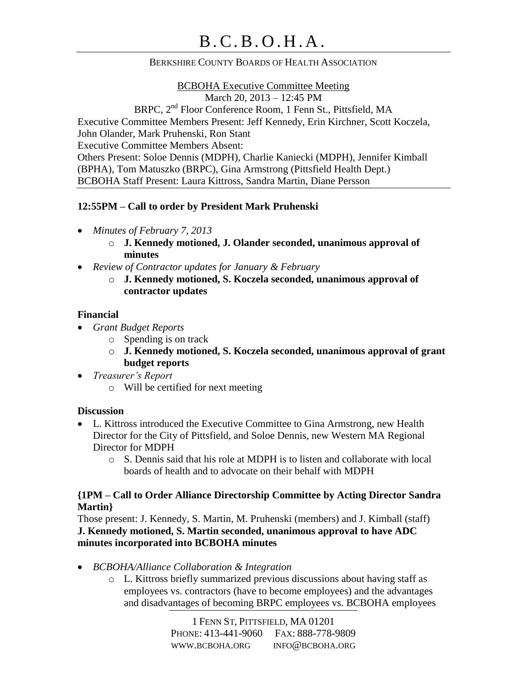### BERKSHIRE COUNTY BOARDS OF HEALTH ASSOCIATION

### BCBOHA Executive Committee Meeting

March 20, 2013 – 12:45 PM

BRPC, 2nd Floor Conference Room, 1 Fenn St., Pittsfield, MA

Executive Committee Members Present: Jeff Kennedy, Erin Kirchner, Scott Koczela,

John Olander, Mark Pruhenski, Ron Stant

Executive Committee Members Absent:

Others Present: Soloe Dennis (MDPH), Charlie Kaniecki (MDPH), Jennifer Kimball (BPHA), Tom Matuszko (BRPC), Gina Armstrong (Pittsfield Health Dept.) BCBOHA Staff Present: Laura Kittross, Sandra Martin, Diane Persson

## **12:55PM – Call to order by President Mark Pruhenski**

- *Minutes of February 7, 2013*
	- o **J. Kennedy motioned, J. Olander seconded, unanimous approval of minutes**
- *Review of Contractor updates for January & February*
	- o **J. Kennedy motioned, S. Koczela seconded, unanimous approval of contractor updates**

## **Financial**

- *Grant Budget Reports*
	- o Spending is on track
	- o **J. Kennedy motioned, S. Koczela seconded, unanimous approval of grant budget reports**
- *Treasurer's Report*
	- o Will be certified for next meeting

# **Discussion**

- L. Kittross introduced the Executive Committee to Gina Armstrong, new Health Director for the City of Pittsfield, and Soloe Dennis, new Western MA Regional Director for MDPH
	- o S. Dennis said that his role at MDPH is to listen and collaborate with local boards of health and to advocate on their behalf with MDPH

## **{1PM – Call to Order Alliance Directorship Committee by Acting Director Sandra Martin}**

Those present: J. Kennedy, S. Martin, M. Pruhenski (members) and J. Kimball (staff) **J. Kennedy motioned, S. Martin seconded, unanimous approval to have ADC minutes incorporated into BCBOHA minutes**

- *BCBOHA/Alliance Collaboration & Integration*
	- o L. Kittross briefly summarized previous discussions about having staff as employees vs. contractors (have to become employees) and the advantages and disadvantages of becoming BRPC employees vs. BCBOHA employees

1 FENN ST, PITTSFIELD, MA 01201 PHONE: 413-441-9060 FAX: 888-778-9809 WWW.BCBOHA.ORG INFO@BCBOHA.ORG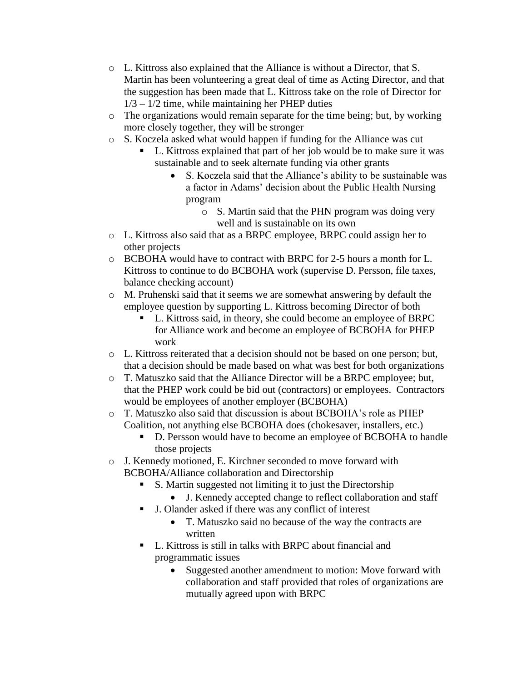- o L. Kittross also explained that the Alliance is without a Director, that S. Martin has been volunteering a great deal of time as Acting Director, and that the suggestion has been made that L. Kittross take on the role of Director for  $1/3 - 1/2$  time, while maintaining her PHEP duties
- o The organizations would remain separate for the time being; but, by working more closely together, they will be stronger
- o S. Koczela asked what would happen if funding for the Alliance was cut
	- L. Kittross explained that part of her job would be to make sure it was sustainable and to seek alternate funding via other grants
		- S. Koczela said that the Alliance's ability to be sustainable was a factor in Adams' decision about the Public Health Nursing program
			- o S. Martin said that the PHN program was doing very well and is sustainable on its own
- o L. Kittross also said that as a BRPC employee, BRPC could assign her to other projects
- o BCBOHA would have to contract with BRPC for 2-5 hours a month for L. Kittross to continue to do BCBOHA work (supervise D. Persson, file taxes, balance checking account)
- o M. Pruhenski said that it seems we are somewhat answering by default the employee question by supporting L. Kittross becoming Director of both
	- L. Kittross said, in theory, she could become an employee of BRPC for Alliance work and become an employee of BCBOHA for PHEP work
- o L. Kittross reiterated that a decision should not be based on one person; but, that a decision should be made based on what was best for both organizations
- o T. Matuszko said that the Alliance Director will be a BRPC employee; but, that the PHEP work could be bid out (contractors) or employees. Contractors would be employees of another employer (BCBOHA)
- o T. Matuszko also said that discussion is about BCBOHA's role as PHEP Coalition, not anything else BCBOHA does (chokesaver, installers, etc.)
	- D. Persson would have to become an employee of BCBOHA to handle those projects
- o J. Kennedy motioned, E. Kirchner seconded to move forward with BCBOHA/Alliance collaboration and Directorship
	- S. Martin suggested not limiting it to just the Directorship
		- J. Kennedy accepted change to reflect collaboration and staff
		- J. Olander asked if there was any conflict of interest
			- T. Matuszko said no because of the way the contracts are written
	- L. Kittross is still in talks with BRPC about financial and programmatic issues
		- Suggested another amendment to motion: Move forward with collaboration and staff provided that roles of organizations are mutually agreed upon with BRPC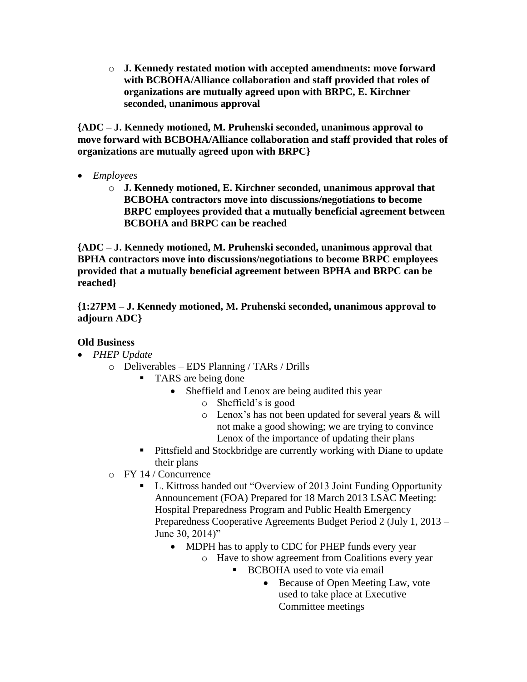o **J. Kennedy restated motion with accepted amendments: move forward with BCBOHA/Alliance collaboration and staff provided that roles of organizations are mutually agreed upon with BRPC, E. Kirchner seconded, unanimous approval**

**{ADC – J. Kennedy motioned, M. Pruhenski seconded, unanimous approval to move forward with BCBOHA/Alliance collaboration and staff provided that roles of organizations are mutually agreed upon with BRPC}**

- *Employees*
	- o **J. Kennedy motioned, E. Kirchner seconded, unanimous approval that BCBOHA contractors move into discussions/negotiations to become BRPC employees provided that a mutually beneficial agreement between BCBOHA and BRPC can be reached**

**{ADC – J. Kennedy motioned, M. Pruhenski seconded, unanimous approval that BPHA contractors move into discussions/negotiations to become BRPC employees provided that a mutually beneficial agreement between BPHA and BRPC can be reached}**

**{1:27PM – J. Kennedy motioned, M. Pruhenski seconded, unanimous approval to adjourn ADC}**

# **Old Business**

- *PHEP Update*
	- o Deliverables EDS Planning / TARs / Drills
		- TARS are being done
			- Sheffield and Lenox are being audited this year
				- o Sheffield's is good
				- o Lenox's has not been updated for several years & will not make a good showing; we are trying to convince Lenox of the importance of updating their plans
		- **Pittsfield and Stockbridge are currently working with Diane to update** their plans
	- o FY 14 / Concurrence
		- L. Kittross handed out "Overview of 2013 Joint Funding Opportunity Announcement (FOA) Prepared for 18 March 2013 LSAC Meeting: Hospital Preparedness Program and Public Health Emergency Preparedness Cooperative Agreements Budget Period 2 (July 1, 2013 – June 30, 2014)"
			- MDPH has to apply to CDC for PHEP funds every year
				- o Have to show agreement from Coalitions every year
					- BCBOHA used to vote via email
						- Because of Open Meeting Law, vote used to take place at Executive Committee meetings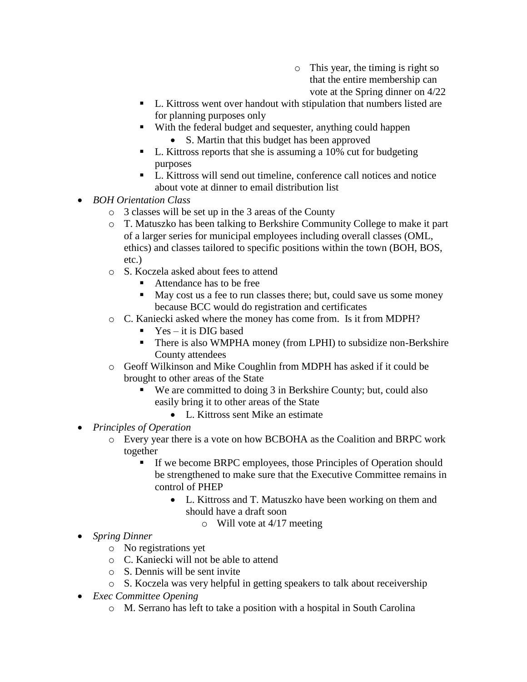- o This year, the timing is right so that the entire membership can vote at the Spring dinner on 4/22
- L. Kittross went over handout with stipulation that numbers listed are for planning purposes only
- With the federal budget and sequester, anything could happen
	- S. Martin that this budget has been approved
- L. Kittross reports that she is assuming a 10% cut for budgeting purposes
- L. Kittross will send out timeline, conference call notices and notice about vote at dinner to email distribution list
- *BOH Orientation Class*
	- o 3 classes will be set up in the 3 areas of the County
	- o T. Matuszko has been talking to Berkshire Community College to make it part of a larger series for municipal employees including overall classes (OML, ethics) and classes tailored to specific positions within the town (BOH, BOS, etc.)
	- o S. Koczela asked about fees to attend
		- Attendance has to be free
		- May cost us a fee to run classes there; but, could save us some money because BCC would do registration and certificates
	- o C. Kaniecki asked where the money has come from. Is it from MDPH?
		- $Yes it$  is DIG based
		- There is also WMPHA money (from LPHI) to subsidize non-Berkshire County attendees
	- o Geoff Wilkinson and Mike Coughlin from MDPH has asked if it could be brought to other areas of the State
		- We are committed to doing 3 in Berkshire County; but, could also easily bring it to other areas of the State
			- L. Kittross sent Mike an estimate
- *Principles of Operation*
	- o Every year there is a vote on how BCBOHA as the Coalition and BRPC work together
		- If we become BRPC employees, those Principles of Operation should be strengthened to make sure that the Executive Committee remains in control of PHEP
			- L. Kittross and T. Matuszko have been working on them and should have a draft soon
				- o Will vote at 4/17 meeting
- *Spring Dinner*
	- o No registrations yet
	- o C. Kaniecki will not be able to attend
	- o S. Dennis will be sent invite
	- o S. Koczela was very helpful in getting speakers to talk about receivership
- *Exec Committee Opening*
	- o M. Serrano has left to take a position with a hospital in South Carolina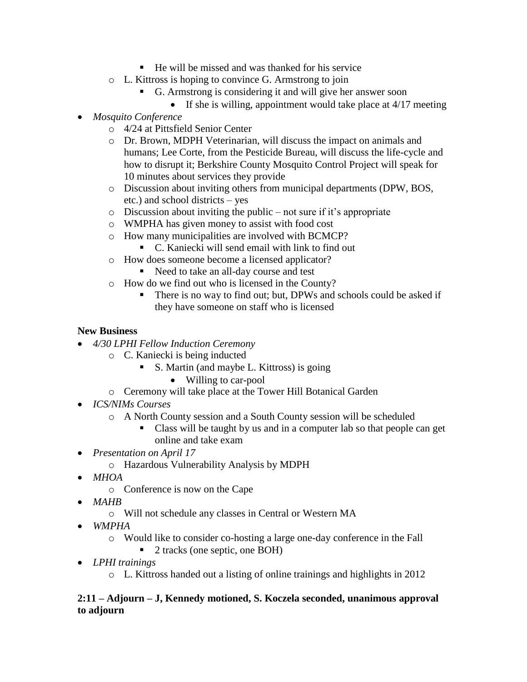- $\blacksquare$  He will be missed and was thanked for his service
- o L. Kittross is hoping to convince G. Armstrong to join
	- G. Armstrong is considering it and will give her answer soon
		- If she is willing, appointment would take place at  $4/17$  meeting
- *Mosquito Conference*
	- o 4/24 at Pittsfield Senior Center
	- o Dr. Brown, MDPH Veterinarian, will discuss the impact on animals and humans; Lee Corte, from the Pesticide Bureau, will discuss the life-cycle and how to disrupt it; Berkshire County Mosquito Control Project will speak for 10 minutes about services they provide
	- o Discussion about inviting others from municipal departments (DPW, BOS, etc.) and school districts – yes
	- $\circ$  Discussion about inviting the public not sure if it's appropriate
	- o WMPHA has given money to assist with food cost
	- o How many municipalities are involved with BCMCP?
		- C. Kaniecki will send email with link to find out
	- o How does someone become a licensed applicator?
		- Need to take an all-day course and test
	- o How do we find out who is licensed in the County?
		- There is no way to find out; but, DPWs and schools could be asked if they have someone on staff who is licensed

## **New Business**

- *4/30 LPHI Fellow Induction Ceremony*
	- o C. Kaniecki is being inducted
		- S. Martin (and maybe L. Kittross) is going
			- Willing to car-pool
	- o Ceremony will take place at the Tower Hill Botanical Garden
- *ICS/NIMs Courses* 
	- o A North County session and a South County session will be scheduled
		- Class will be taught by us and in a computer lab so that people can get online and take exam
- *Presentation on April 17*
	- o Hazardous Vulnerability Analysis by MDPH
- *MHOA*
	- o Conference is now on the Cape
- *MAHB*
	- o Will not schedule any classes in Central or Western MA
- *WMPHA*
	- o Would like to consider co-hosting a large one-day conference in the Fall
		- 2 tracks (one septic, one BOH)
- *LPHI trainings*
	- o L. Kittross handed out a listing of online trainings and highlights in 2012

### **2:11 – Adjourn – J, Kennedy motioned, S. Koczela seconded, unanimous approval to adjourn**